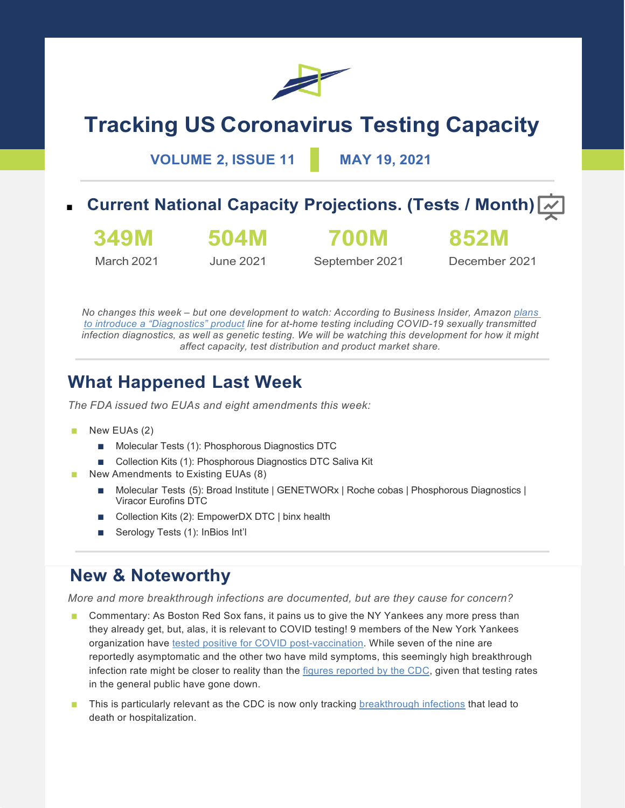

# **Tracking US Coronavirus Testing Capacity**

**VOLUME 2, ISSUE 11 MAY 19, 2021**

**Current National Capacity Projections. (Tests / Month)**  $\boxed{\sim}$ 

**349M** March 2021

June 2021

**504M**

**700M** September 2021

December 2021

**852M**

*No changes this week – but one development to watch: According to Business Insider, Amazon plans to introduce a "Diagnostics" product line for at-home testing including COVID-19 sexually transmitted infection diagnostics, as well as genetic testing. We will be watching this development for how it might affect capacity, test distribution and product market share.*

# **What Happened Last Week**

*The FDA issued two EUAs and eight amendments this week:*

- New EUAs (2)
	- Molecular Tests (1): Phosphorous Diagnostics DTC
	- Collection Kits (1): Phosphorous Diagnostics DTC Saliva Kit
- New Amendments to Existing EUAs (8)
	- Molecular Tests (5): Broad Institute | GENETWORx | Roche cobas | Phosphorous Diagnostics | Viracor Eurofins DTC
	- Collection Kits (2): EmpowerDX DTC | binx health
	- Serology Tests (1): InBios Int'l

### **New & Noteworthy**

*More and more breakthrough infections are documented, but are they cause for concern?*

- Commentary: As Boston Red Sox fans, it pains us to give the NY Yankees any more press than they already get, but, alas, it is relevant to COVID testing! 9 members of the New York Yankees organization have tested positive for COVID post-vaccination. While seven of the nine are reportedly asymptomatic and the other two have mild symptoms, this seemingly high breakthrough infection rate might be closer to reality than the figures reported by the CDC, given that testing rates in the general public have gone down.
- This is particularly relevant as the CDC is now only tracking breakthrough infections that lead to death or hospitalization.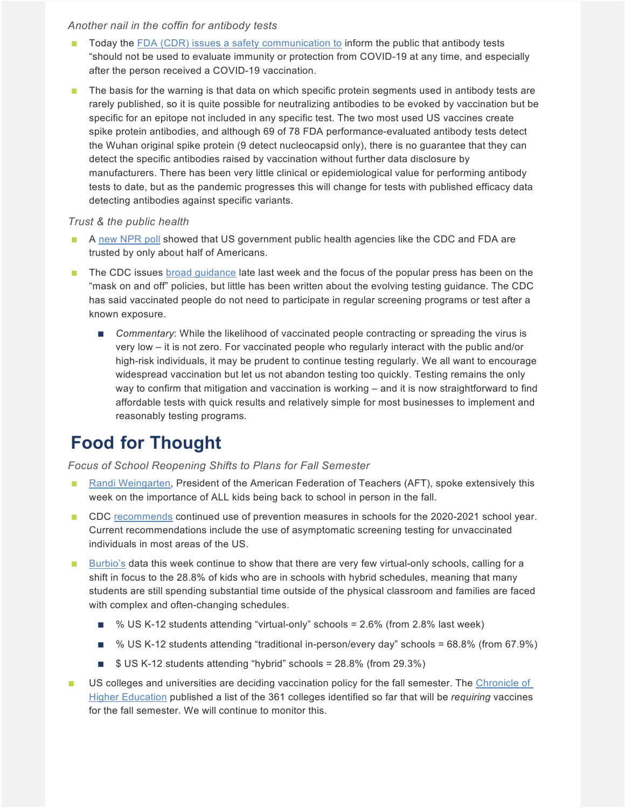#### *Another nail in the coffin for antibody tests*

- Today the FDA (CDR) issues a safety communication to inform the public that antibody tests "should not be used to evaluate immunity or protection from COVID-19 at any time, and especially after the person received a COVID-19 vaccination.
- The basis for the warning is that data on which specific protein segments used in antibody tests are rarely published, so it is quite possible for neutralizing antibodies to be evoked by vaccination but be specific for an epitope not included in any specific test. The two most used US vaccines create spike protein antibodies, and although 69 of 78 FDA performance-evaluated antibody tests detect the Wuhan original spike protein (9 detect nucleocapsid only), there is no guarantee that they can detect the specific antibodies raised by vaccination without further data disclosure by manufacturers. There has been very little clinical or epidemiological value for performing antibody tests to date, but as the pandemic progresses this will change for tests with published efficacy data detecting antibodies against specific variants.

#### *Trust & the public health*

- A new NPR poll showed that US government public health agencies like the CDC and FDA are trusted by only about half of Americans.
- The CDC issues broad guidance late last week and the focus of the popular press has been on the "mask on and off" policies, but little has been written about the evolving testing guidance. The CDC has said vaccinated people do not need to participate in regular screening programs or test after a known exposure.
	- *Commentary:* While the likelihood of vaccinated people contracting or spreading the virus is very low – it is not zero. For vaccinated people who regularly interact with the public and/or high-risk individuals, it may be prudent to continue testing regularly. We all want to encourage widespread vaccination but let us not abandon testing too quickly. Testing remains the only way to confirm that mitigation and vaccination is working – and it is now straightforward to find affordable tests with quick results and relatively simple for most businesses to implement and reasonably testing programs.

# **Food for Thought**

#### *Focus of School Reopening Shifts to Plans for Fall Semester*

- Randi Weingarten, President of the American Federation of Teachers (AFT), spoke extensively this week on the importance of ALL kids being back to school in person in the fall.
- CDC recommends continued use of prevention measures in schools for the 2020-2021 school year. Current recommendations include the use of asymptomatic screening testing for unvaccinated individuals in most areas of the US.
- Burbio's data this week continue to show that there are very few virtual-only schools, calling for a shift in focus to the 28.8% of kids who are in schools with hybrid schedules, meaning that many students are still spending substantial time outside of the physical classroom and families are faced with complex and often-changing schedules.
	- % US K-12 students attending "virtual-only" schools = 2.6% (from 2.8% last week)
	- % US K-12 students attending "traditional in-person/every day" schools = 68.8% (from 67.9%)
	- $\blacksquare$  \$ US K-12 students attending "hybrid" schools = 28.8% (from 29.3%)
- US colleges and universities are deciding vaccination policy for the fall semester. The Chronicle of Higher Education published a list of the 361 colleges identified so far that will be *requiring* vaccines for the fall semester. We will continue to monitor this.